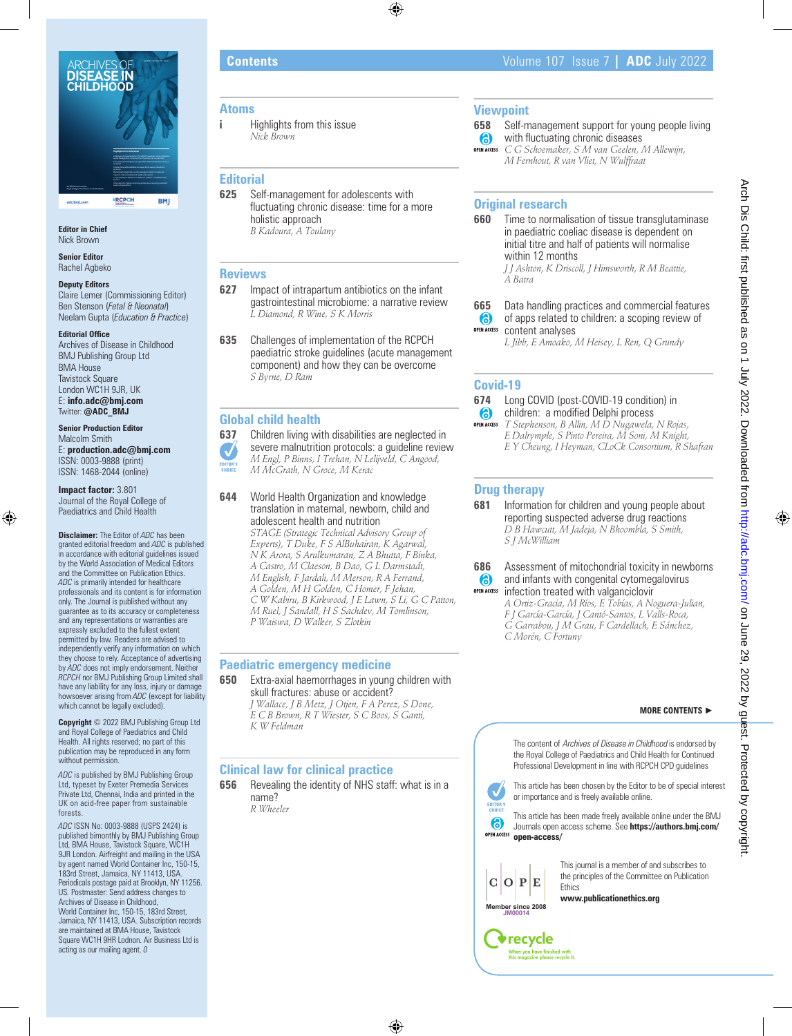

**Editor in Chief** Nick Brown

**Senior Editor** Rachel Agbeko

#### **Deputy Editors**

Claire Lemer (Commissioning Editor) Ben Stenson (*Fetal & Neonatal*) Neelam Gupta (*Education & Practice*)

#### **Editorial Office**

Archives of Disease in Childhood BMJ Publishing Group Ltd BMA House Tavistock Square London WC1H 9JR, UK E: **info.adc@bmj.com** Twitter: **@ADC\_BMJ**

### **Senior Production Editor** Malcolm Smith

E: **production.adc@bmj.com** ISSN: 0003-9888 (print) ISSN: 1468-2044 (online)

#### **Impact factor:** 3.801 Journal of the Royal College of Paediatrics and Child Health

**Disclaimer:** The Editor of *ADC* has been granted editorial freedom and *ADC* is published in accordance with editorial guidelines issued by the World Association of Medical Editors and the Committee on Publication Ethics. *ADC* is primarily intended for healthcare professionals and its content is for information only. The Journal is published without any guarantee as to its accuracy or completeness and any representations or warranties are expressly excluded to the fullest extent permitted by law. Readers are advised to independently verify any information on which they choose to rely. Acceptance of advertising by *ADC* does not imply endorsement. Neither *RCPCH* nor BMJ Publishing Group Limited shall have any liability for any loss, injury or damage howsoever arising from *ADC* (except for liability which cannot be legally excluded).

**Copyright** © 2022 BMJ Publishing Group Ltd and Royal College of Paediatrics and Child Health. All rights reserved; no part of this publication may be reproduced in any form without permission.

*ADC* is published by BMJ Publishing Group Ltd, typeset by Exeter Premedia Services Private Ltd, Chennai, India and printed in the UK on acid-free paper from sustainable forests.

*ADC* ISSN No: 0003-9888 (USPS 2424) is published bimonthly by BMJ Publishing Group Ltd, BMA House, Tavistock Square, WC1H 9JR London. Airfreight and mailing in the USA by agent named World Container Inc, 150-15, 183rd Street, Jamaica, NY 11413, USA. Periodicals postage paid at Brooklyn, NY 11256. US*.* Postmaster: Send address changes to Archives of Disease in Childhood, World Container Inc, 150-15, 183rd Street Jamaica, NY 11413, USA. Subscription records are maintained at BMA House, Tavistock Square WC1H 9HR Lodnon. Air Business Ltd is acting as our mailing agent. *0*

#### **Atoms**

**i** Highlights from this issue *Nick Brown*

### **Editorial**

**625** Self-management for adolescents with fluctuating chronic disease: time for a more holistic approach *B Kadoura, A Toulany*

#### **Reviews**

- **627** Impact of intrapartum antibiotics on the infant gastrointestinal microbiome: a narrative review *L Diamond, R Wine, S K Morris*
- **635** Challenges of implementation of the RCPCH paediatric stroke guidelines (acute management component) and how they can be overcome *S Byrne, D Ram*

#### **Global child health**

**637** Children living with disabilities are neglected in severe malnutrition protocols: a guideline review  $\overline{\mathcal{A}}$ *M Engl, P Binns, I Trehan, N Lelijveld, C Angood,*  EDITOR:<br>CHOICE *M McGrath, N Groce, M Kerac*

**644** World Health Organization and knowledge translation in maternal, newborn, child and adolescent health and nutrition

*STAGE (Strategic Technical Advisory Group of Experts), T Duke, F S AlBuhairan, K Agarwal, N K Arora, S Arulkumaran, Z A Bhutta, F Binka, A Castro, M Claeson, B Dao, G L Darmstadt, M English, F Jardali, M Merson, R A Ferrand, A Golden, M H Golden, C Homer, F Jehan, C W Kabiru, B Kirkwood, J E Lawn, S Li, G C Patton, M Ruel, J Sandall, H S Sachdev, M Tomlinson, P Waiswa, D Walker, S Zlotkin*

#### **Paediatric emergency medicine**

**650** Extra-axial haemorrhages in young children with skull fractures: abuse or accident? *J Wallace, J B Metz, J Otjen, F A Perez, S Done, E C B Brown, R T Wiester, S C Boos, S Ganti, K W Feldman*

#### **Clinical law for clinical practice**

**656** Revealing the identity of NHS staff: what is in a name? *R Wheeler*

#### **Viewpoint**

- **658** Self-management support for young people living 6 with fluctuating chronic diseases
- *C G Schoemaker, S M van Geelen, M Allewijn, M Fernhout, R van Vliet, N Wulffraat*

#### **Original research**

**660** Time to normalisation of tissue transglutaminase in paediatric coeliac disease is dependent on initial titre and half of patients will normalise within 12 months

*J J Ashton, K Driscoll, J Himsworth, R M Beattie, A Batra*

**665** Data handling practices and commercial features 6 of apps related to children: a scoping review of **OPEN ACCESS** content analyses

*L Jibb, E Amoako, M Heisey, L Ren, Q Grundy*

### **Covid-19**

#### **674** Long COVID (post-COVID-19 condition) in 6 children: a modified Delphi process

**OPEN ACCESS** *T Stephenson, B Allin, M D Nugawela, N Rojas, E Dalrymple, S Pinto Pereira, M Soni, M Knight, E Y Cheung, I Heyman, CLoCk Consortium, R Shafran*

### **Drug therapy**

**681** Information for children and young people about reporting suspected adverse drug reactions *D B Hawcutt, M Jadeja, N Bhoombla, S Smith, S J McWilliam*

#### **686** Assessment of mitochondrial toxicity in newborns 6 and infants with congenital cytomegalovirus infection treated with valganciclovir **OPEN ACCESS**

*A Ortiz-Gracia, M Ríos, E Tobías, A Noguera-Julian, F J García-García, J Cantó-Santos, L Valls-Roca, G Garrabou, J M Grau, F Cardellach, E Sánchez, C Morén, C Fortuny*

#### **MORE CONTENTS** ►

The content of Archives of Disease in Childhood is endorsed by the Royal College of Paediatrics and Child Health for Continued Professional Development in line with RCPCH CPD guidelines

This article has been chosen by the Editor to be of special interest or importance and is freely available online.

This article has been made freely available online under the BMJ Journals open access scheme. See **https://authors.bmj.com/ open-access/**



 $\overline{\mathbf{v}}$ EDITOR' 6

> This journal is a member of and subscribes to the principles of the Committee on Publication **Ethics**

**www.publicationethics.org**